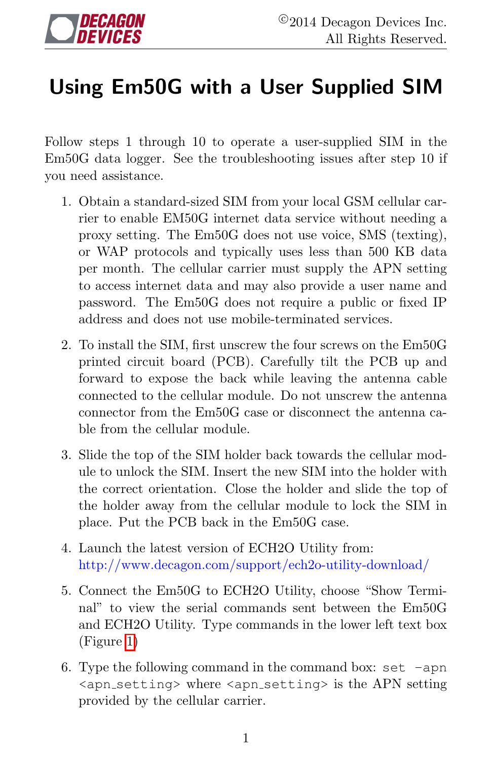## Using Em50G with a User Supplied SIM

Follow steps 1 through 10 to operate a user-supplied SIM in the Em50G data logger. See the troubleshooting issues after step 10 if you need assistance.

- 1. Obtain a standard-sized SIM from your local GSM cellular carrier to enable EM50G internet data service without needing a proxy setting. The Em50G does not use voice, SMS (texting), or WAP protocols and typically uses less than 500 KB data per month. The cellular carrier must supply the APN setting to access internet data and may also provide a user name and password. The Em50G does not require a public or fixed IP address and does not use mobile-terminated services.
- 2. To install the SIM, first unscrew the four screws on the Em50G printed circuit board (PCB). Carefully tilt the PCB up and forward to expose the back while leaving the antenna cable connected to the cellular module. Do not unscrew the antenna connector from the Em50G case or disconnect the antenna cable from the cellular module.
- 3. Slide the top of the SIM holder back towards the cellular module to unlock the SIM. Insert the new SIM into the holder with the correct orientation. Close the holder and slide the top of the holder away from the cellular module to lock the SIM in place. Put the PCB back in the Em50G case.
- 4. Launch the latest version of ECH2O Utility from: http://www.decagon.com/support/ech2o-utility-download/
- 5. Connect the Em50G to ECH2O Utility, choose "Show Terminal" to view the serial commands sent between the Em50G and ECH2O Utility. Type commands in the lower left text box (Figure [1\)](#page-1-0)
- 6. Type the following command in the command box: set  $-\text{apn}$ <apn setting> where <apn setting> is the APN setting provided by the cellular carrier.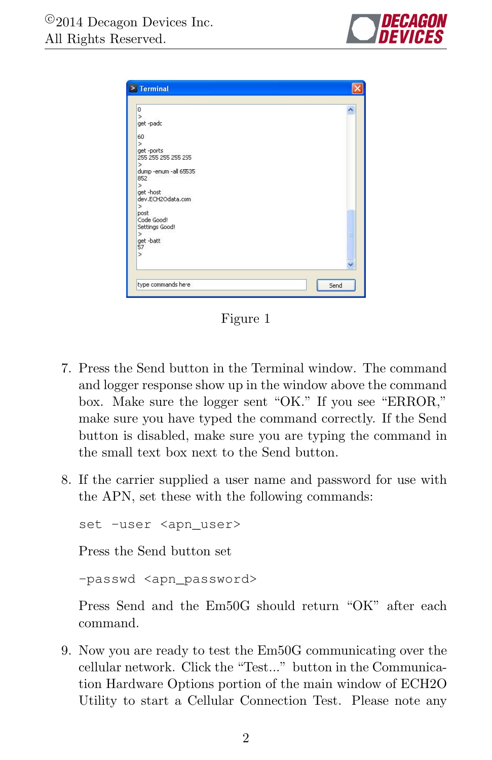

<span id="page-1-0"></span>

| 0                            |      |
|------------------------------|------|
| $\mathbf{r}$                 |      |
| get-padc                     |      |
| 60                           |      |
| $\overline{ }$               |      |
| get-ports                    |      |
| 255 255 255 255 255          |      |
| $\geq$                       |      |
| dump -enum -all 65535<br>852 |      |
| S                            |      |
| get -host                    |      |
| dev.ECH2Odata.com            |      |
| ⋟                            |      |
| post                         |      |
| Code Good!                   |      |
| Settings Good!               |      |
| $\overline{ }$               | ₿    |
| get-batt<br>57               |      |
| ⋗                            |      |
|                              |      |
|                              |      |
|                              |      |
| type commands here           | Send |

Figure 1

- 7. Press the Send button in the Terminal window. The command and logger response show up in the window above the command box. Make sure the logger sent "OK." If you see "ERROR," make sure you have typed the command correctly. If the Send button is disabled, make sure you are typing the command in the small text box next to the Send button.
- 8. If the carrier supplied a user name and password for use with the APN, set these with the following commands:

set -user <apn\_user>

Press the Send button set

-passwd <apn\_password>

Press Send and the Em50G should return "OK" after each command.

9. Now you are ready to test the Em50G communicating over the cellular network. Click the "Test..." button in the Communication Hardware Options portion of the main window of ECH2O Utility to start a Cellular Connection Test. Please note any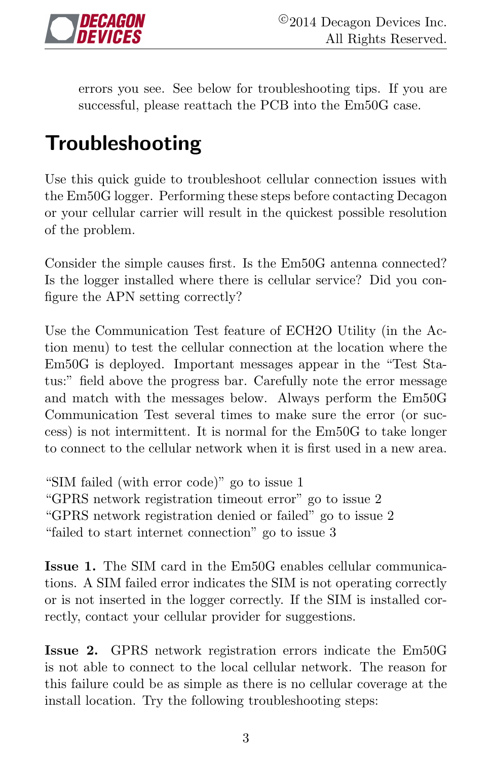

errors you see. See below for troubleshooting tips. If you are successful, please reattach the PCB into the Em50G case.

## Troubleshooting

Use this quick guide to troubleshoot cellular connection issues with the Em50G logger. Performing these steps before contacting Decagon or your cellular carrier will result in the quickest possible resolution of the problem.

Consider the simple causes first. Is the Em50G antenna connected? Is the logger installed where there is cellular service? Did you configure the APN setting correctly?

Use the Communication Test feature of ECH2O Utility (in the Action menu) to test the cellular connection at the location where the Em50G is deployed. Important messages appear in the "Test Status:" field above the progress bar. Carefully note the error message and match with the messages below. Always perform the Em50G Communication Test several times to make sure the error (or success) is not intermittent. It is normal for the Em50G to take longer to connect to the cellular network when it is first used in a new area.

"SIM failed (with error code)" go to issue 1 "GPRS network registration timeout error" go to issue 2 "GPRS network registration denied or failed" go to issue 2 "failed to start internet connection" go to issue 3

Issue 1. The SIM card in the Em50G enables cellular communications. A SIM failed error indicates the SIM is not operating correctly or is not inserted in the logger correctly. If the SIM is installed correctly, contact your cellular provider for suggestions.

Issue 2. GPRS network registration errors indicate the Em50G is not able to connect to the local cellular network. The reason for this failure could be as simple as there is no cellular coverage at the install location. Try the following troubleshooting steps: